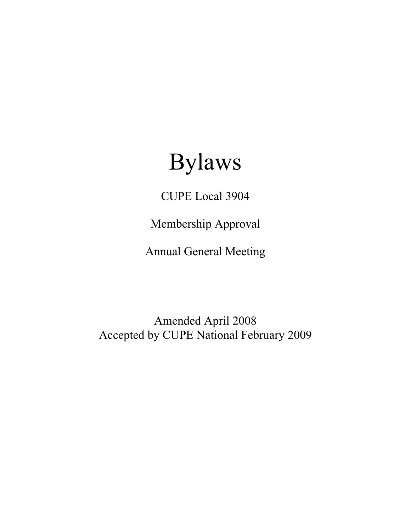# Bylaws

CUPE Local 3904

Membership Approval

Annual General Meeting

Amended April 2008 Accepted by CUPE National February 2009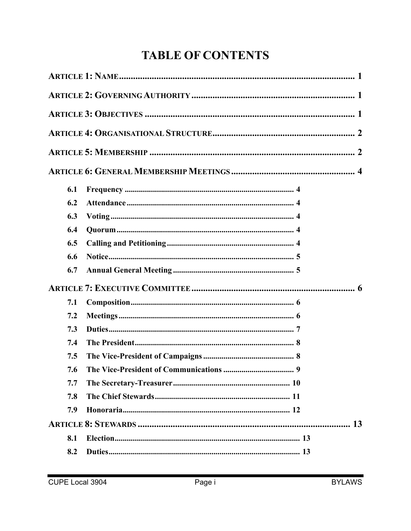## **TABLE OF CONTENTS**

| 6.1 |    |
|-----|----|
| 6.2 |    |
| 6.3 |    |
| 6.4 |    |
| 6.5 |    |
| 6.6 |    |
| 6.7 |    |
|     |    |
| 7.1 |    |
| 7.2 |    |
| 7.3 |    |
| 7.4 |    |
| 7.5 |    |
| 7.6 | 9  |
| 7.7 |    |
| 7.8 |    |
| 7.9 |    |
|     | 13 |
| 8.1 |    |
| 8.2 |    |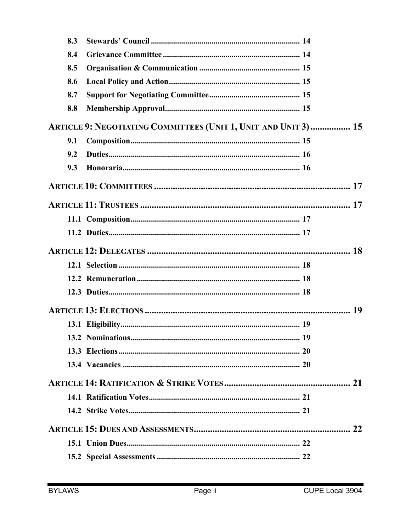| 8.3 |                                                                 |  |
|-----|-----------------------------------------------------------------|--|
| 8.4 |                                                                 |  |
| 8.5 |                                                                 |  |
| 8.6 |                                                                 |  |
| 8.7 |                                                                 |  |
| 8.8 |                                                                 |  |
|     | ARTICLE 9: NEGOTIATING COMMITTEES (UNIT 1, UNIT AND UNIT 3)  15 |  |
| 9.1 |                                                                 |  |
| 9.2 |                                                                 |  |
| 9.3 |                                                                 |  |
|     |                                                                 |  |
|     |                                                                 |  |
|     |                                                                 |  |
|     |                                                                 |  |
|     |                                                                 |  |
|     |                                                                 |  |
|     |                                                                 |  |
|     |                                                                 |  |
|     |                                                                 |  |
|     |                                                                 |  |
|     |                                                                 |  |
|     |                                                                 |  |
|     |                                                                 |  |
|     |                                                                 |  |
|     |                                                                 |  |
|     |                                                                 |  |
|     |                                                                 |  |
|     |                                                                 |  |
|     |                                                                 |  |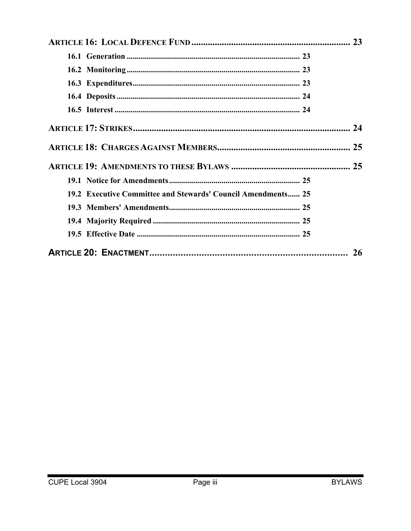| 19.2 Executive Committee and Stewards' Council Amendments 25 |           |
|--------------------------------------------------------------|-----------|
|                                                              |           |
|                                                              |           |
|                                                              |           |
|                                                              | <b>26</b> |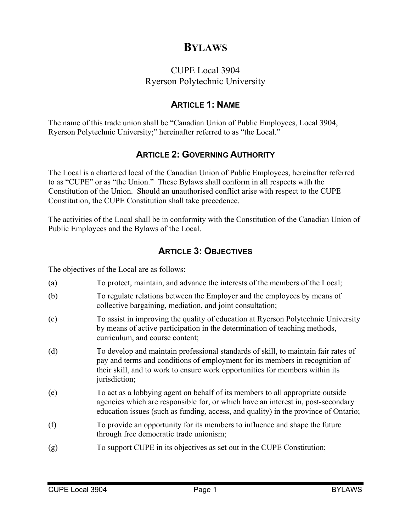## **BYLAWS**

## CUPE Local 3904 Ryerson Polytechnic University

## **ARTICLE 1: NAME**

The name of this trade union shall be "Canadian Union of Public Employees, Local 3904, Ryerson Polytechnic University;" hereinafter referred to as "the Local."

## **ARTICLE 2: GOVERNING AUTHORITY**

The Local is a chartered local of the Canadian Union of Public Employees, hereinafter referred to as "CUPE" or as "the Union." These Bylaws shall conform in all respects with the Constitution of the Union. Should an unauthorised conflict arise with respect to the CUPE Constitution, the CUPE Constitution shall take precedence.

The activities of the Local shall be in conformity with the Constitution of the Canadian Union of Public Employees and the Bylaws of the Local.

## **ARTICLE 3: OBJECTIVES**

The objectives of the Local are as follows:

- (a) To protect, maintain, and advance the interests of the members of the Local;
- (b) To regulate relations between the Employer and the employees by means of collective bargaining, mediation, and joint consultation;
- (c) To assist in improving the quality of education at Ryerson Polytechnic University by means of active participation in the determination of teaching methods, curriculum, and course content;
- (d) To develop and maintain professional standards of skill, to maintain fair rates of pay and terms and conditions of employment for its members in recognition of their skill, and to work to ensure work opportunities for members within its jurisdiction;
- (e) To act as a lobbying agent on behalf of its members to all appropriate outside agencies which are responsible for, or which have an interest in, post-secondary education issues (such as funding, access, and quality) in the province of Ontario;
- (f) To provide an opportunity for its members to influence and shape the future through free democratic trade unionism;
- (g) To support CUPE in its objectives as set out in the CUPE Constitution;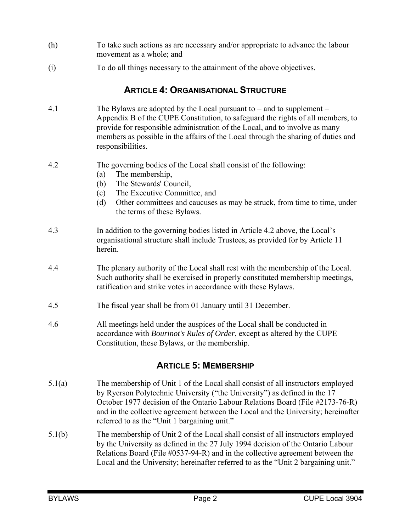- (h) To take such actions as are necessary and/or appropriate to advance the labour movement as a whole; and
- (i) To do all things necessary to the attainment of the above objectives.

## **ARTICLE 4: ORGANISATIONAL STRUCTURE**

- 4.1 The Bylaws are adopted by the Local pursuant to  $-$  and to supplement  $-$ Appendix B of the CUPE Constitution, to safeguard the rights of all members, to provide for responsible administration of the Local, and to involve as many members as possible in the affairs of the Local through the sharing of duties and responsibilities.
- 4.2 The governing bodies of the Local shall consist of the following:
	- (a) The membership,
	- (b) The Stewards' Council,
	- (c) The Executive Committee, and
	- (d) Other committees and caucuses as may be struck, from time to time, under the terms of these Bylaws.
- 4.3 In addition to the governing bodies listed in Article 4.2 above, the Local's organisational structure shall include Trustees, as provided for by Article 11 herein.
- 4.4 The plenary authority of the Local shall rest with the membership of the Local. Such authority shall be exercised in properly constituted membership meetings, ratification and strike votes in accordance with these Bylaws.
- 4.5 The fiscal year shall be from 01 January until 31 December.
- 4.6 All meetings held under the auspices of the Local shall be conducted in accordance with *Bourinot's Rules of Order*, except as altered by the CUPE Constitution, these Bylaws, or the membership.

## **ARTICLE 5: MEMBERSHIP**

- 5.1(a) The membership of Unit 1 of the Local shall consist of all instructors employed by Ryerson Polytechnic University ("the University") as defined in the 17 October 1977 decision of the Ontario Labour Relations Board (File #2173-76-R) and in the collective agreement between the Local and the University; hereinafter referred to as the "Unit 1 bargaining unit."
- 5.1(b) The membership of Unit 2 of the Local shall consist of all instructors employed by the University as defined in the 27 July 1994 decision of the Ontario Labour Relations Board (File #0537-94-R) and in the collective agreement between the Local and the University; hereinafter referred to as the "Unit 2 bargaining unit."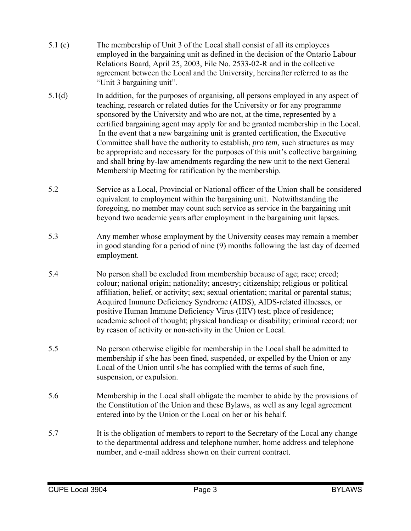- 5.1 (c) The membership of Unit 3 of the Local shall consist of all its employees employed in the bargaining unit as defined in the decision of the Ontario Labour Relations Board, April 25, 2003, File No. 2533-02-R and in the collective agreement between the Local and the University, hereinafter referred to as the "Unit 3 bargaining unit".
- 5.1(d) In addition, for the purposes of organising, all persons employed in any aspect of teaching, research or related duties for the University or for any programme sponsored by the University and who are not, at the time, represented by a certified bargaining agent may apply for and be granted membership in the Local. In the event that a new bargaining unit is granted certification, the Executive Committee shall have the authority to establish, *pro tem*, such structures as may be appropriate and necessary for the purposes of this unit's collective bargaining and shall bring by-law amendments regarding the new unit to the next General Membership Meeting for ratification by the membership.
- 5.2 Service as a Local, Provincial or National officer of the Union shall be considered equivalent to employment within the bargaining unit. Notwithstanding the foregoing, no member may count such service as service in the bargaining unit beyond two academic years after employment in the bargaining unit lapses.
- 5.3 Any member whose employment by the University ceases may remain a member in good standing for a period of nine (9) months following the last day of deemed employment.
- 5.4 No person shall be excluded from membership because of age; race; creed; colour; national origin; nationality; ancestry; citizenship; religious or political affiliation, belief, or activity; sex; sexual orientation; marital or parental status; Acquired Immune Deficiency Syndrome (AIDS), AIDS-related illnesses, or positive Human Immune Deficiency Virus (HIV) test; place of residence; academic school of thought; physical handicap or disability; criminal record; nor by reason of activity or non-activity in the Union or Local.
- 5.5 No person otherwise eligible for membership in the Local shall be admitted to membership if s/he has been fined, suspended, or expelled by the Union or any Local of the Union until s/he has complied with the terms of such fine, suspension, or expulsion.
- 5.6 Membership in the Local shall obligate the member to abide by the provisions of the Constitution of the Union and these Bylaws, as well as any legal agreement entered into by the Union or the Local on her or his behalf.
- 5.7 It is the obligation of members to report to the Secretary of the Local any change to the departmental address and telephone number, home address and telephone number, and e-mail address shown on their current contract.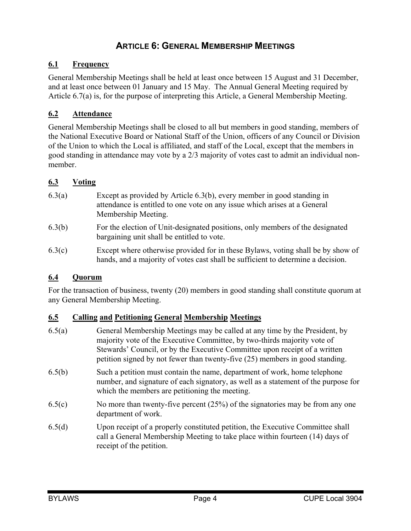## **ARTICLE 6: GENERAL MEMBERSHIP MEETINGS**

#### **6.1 Frequency**

General Membership Meetings shall be held at least once between 15 August and 31 December, and at least once between 01 January and 15 May. The Annual General Meeting required by Article 6.7(a) is, for the purpose of interpreting this Article, a General Membership Meeting.

#### **6.2 Attendance**

General Membership Meetings shall be closed to all but members in good standing, members of the National Executive Board or National Staff of the Union, officers of any Council or Division of the Union to which the Local is affiliated, and staff of the Local, except that the members in good standing in attendance may vote by a 2/3 majority of votes cast to admit an individual nonmember.

#### **6.3 Voting**

- 6.3(a) Except as provided by Article 6.3(b), every member in good standing in attendance is entitled to one vote on any issue which arises at a General Membership Meeting.
- 6.3(b) For the election of Unit-designated positions, only members of the designated bargaining unit shall be entitled to vote.
- 6.3(c) Except where otherwise provided for in these Bylaws, voting shall be by show of hands, and a majority of votes cast shall be sufficient to determine a decision.

#### **6.4 Quorum**

For the transaction of business, twenty (20) members in good standing shall constitute quorum at any General Membership Meeting.

#### **6.5 Calling and Petitioning General Membership Meetings**

- 6.5(a) General Membership Meetings may be called at any time by the President, by majority vote of the Executive Committee, by two-thirds majority vote of Stewards' Council, or by the Executive Committee upon receipt of a written petition signed by not fewer than twenty-five (25) members in good standing. 6.5(b) Such a petition must contain the name, department of work, home telephone number, and signature of each signatory, as well as a statement of the purpose for which the members are petitioning the meeting. 6.5(c) No more than twenty-five percent (25%) of the signatories may be from any one department of work.
- 6.5(d) Upon receipt of a properly constituted petition, the Executive Committee shall call a General Membership Meeting to take place within fourteen (14) days of receipt of the petition.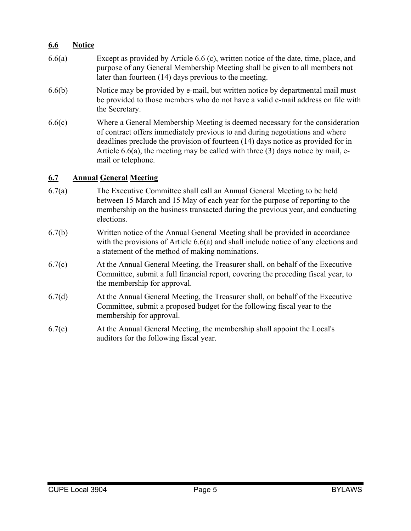#### **6.6 Notice**

- 6.6(a) Except as provided by Article 6.6 (c), written notice of the date, time, place, and purpose of any General Membership Meeting shall be given to all members not later than fourteen (14) days previous to the meeting.
- 6.6(b) Notice may be provided by e-mail, but written notice by departmental mail must be provided to those members who do not have a valid e-mail address on file with the Secretary.
- 6.6(c) Where a General Membership Meeting is deemed necessary for the consideration of contract offers immediately previous to and during negotiations and where deadlines preclude the provision of fourteen (14) days notice as provided for in Article 6.6(a), the meeting may be called with three (3) days notice by mail, email or telephone.

#### **6.7 Annual General Meeting**

- 6.7(a) The Executive Committee shall call an Annual General Meeting to be held between 15 March and 15 May of each year for the purpose of reporting to the membership on the business transacted during the previous year, and conducting elections.
- 6.7(b) Written notice of the Annual General Meeting shall be provided in accordance with the provisions of Article 6.6(a) and shall include notice of any elections and a statement of the method of making nominations.
- 6.7(c) At the Annual General Meeting, the Treasurer shall, on behalf of the Executive Committee, submit a full financial report, covering the preceding fiscal year, to the membership for approval.
- 6.7(d) At the Annual General Meeting, the Treasurer shall, on behalf of the Executive Committee, submit a proposed budget for the following fiscal year to the membership for approval.
- 6.7(e) At the Annual General Meeting, the membership shall appoint the Local's auditors for the following fiscal year.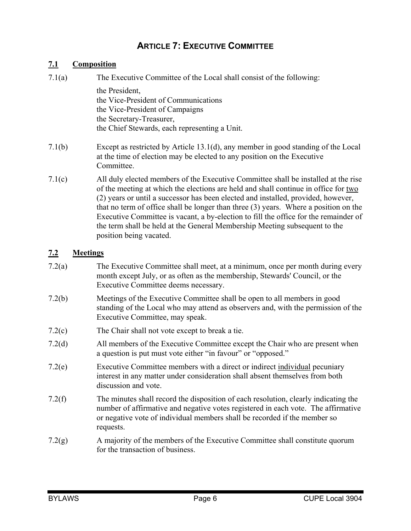## **ARTICLE 7: EXECUTIVE COMMITTEE**

#### **7.1 Composition**

| 7.1(a) | The Executive Committee of the Local shall consist of the following:                                                                                                                                                                                        |
|--------|-------------------------------------------------------------------------------------------------------------------------------------------------------------------------------------------------------------------------------------------------------------|
|        | the President,<br>the Vice-President of Communications<br>the Vice-President of Campaigns                                                                                                                                                                   |
|        | the Secretary-Treasurer,                                                                                                                                                                                                                                    |
|        | the Chief Stewards, each representing a Unit.                                                                                                                                                                                                               |
| 7.1(b) | Except as restricted by Article $13.1(d)$ , any member in good standing of the Local<br>at the time of election may be elected to any position on the Executive<br>Committee.                                                                               |
| 7.1(c) | All duly elected members of the Executive Committee shall be installed at the rise<br>of the meeting at which the elections are held and shall continue in office for two<br>(2) years or until a successor has been elected and installed provided however |

(2) years or until a successor has been elected and installed, provided, however, that no term of office shall be longer than three (3) years. Where a position on the Executive Committee is vacant, a by-election to fill the office for the remainder of the term shall be held at the General Membership Meeting subsequent to the position being vacated.

#### **7.2 Meetings**

| 7.2(a) | The Executive Committee shall meet, at a minimum, once per month during every |
|--------|-------------------------------------------------------------------------------|
|        | month except July, or as often as the membership, Stewards' Council, or the   |
|        | Executive Committee deems necessary.                                          |
|        |                                                                               |

- 7.2(b) Meetings of the Executive Committee shall be open to all members in good standing of the Local who may attend as observers and, with the permission of the Executive Committee, may speak.
- 7.2(c) The Chair shall not vote except to break a tie.
- 7.2(d) All members of the Executive Committee except the Chair who are present when a question is put must vote either "in favour" or "opposed."
- 7.2(e) Executive Committee members with a direct or indirect individual pecuniary interest in any matter under consideration shall absent themselves from both discussion and vote.
- 7.2(f) The minutes shall record the disposition of each resolution, clearly indicating the number of affirmative and negative votes registered in each vote. The affirmative or negative vote of individual members shall be recorded if the member so requests.
- 7.2(g) A majority of the members of the Executive Committee shall constitute quorum for the transaction of business.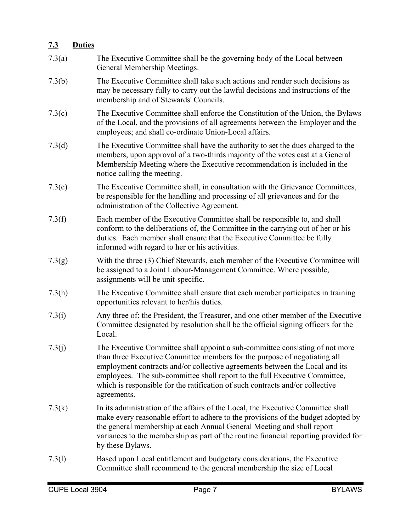## **7.3 Duties**

| 7.3(a) | The Executive Committee shall be the governing body of the Local between<br>General Membership Meetings.                                                                                                                                                                                                                                                                                                               |
|--------|------------------------------------------------------------------------------------------------------------------------------------------------------------------------------------------------------------------------------------------------------------------------------------------------------------------------------------------------------------------------------------------------------------------------|
| 7.3(b) | The Executive Committee shall take such actions and render such decisions as<br>may be necessary fully to carry out the lawful decisions and instructions of the<br>membership and of Stewards' Councils.                                                                                                                                                                                                              |
| 7.3(c) | The Executive Committee shall enforce the Constitution of the Union, the Bylaws<br>of the Local, and the provisions of all agreements between the Employer and the<br>employees; and shall co-ordinate Union-Local affairs.                                                                                                                                                                                            |
| 7.3(d) | The Executive Committee shall have the authority to set the dues charged to the<br>members, upon approval of a two-thirds majority of the votes cast at a General<br>Membership Meeting where the Executive recommendation is included in the<br>notice calling the meeting.                                                                                                                                           |
| 7.3(e) | The Executive Committee shall, in consultation with the Grievance Committees,<br>be responsible for the handling and processing of all grievances and for the<br>administration of the Collective Agreement.                                                                                                                                                                                                           |
| 7.3(f) | Each member of the Executive Committee shall be responsible to, and shall<br>conform to the deliberations of, the Committee in the carrying out of her or his<br>duties. Each member shall ensure that the Executive Committee be fully<br>informed with regard to her or his activities.                                                                                                                              |
| 7.3(g) | With the three (3) Chief Stewards, each member of the Executive Committee will<br>be assigned to a Joint Labour-Management Committee. Where possible,<br>assignments will be unit-specific.                                                                                                                                                                                                                            |
| 7.3(h) | The Executive Committee shall ensure that each member participates in training<br>opportunities relevant to her/his duties.                                                                                                                                                                                                                                                                                            |
| 7.3(i) | Any three of: the President, the Treasurer, and one other member of the Executive<br>Committee designated by resolution shall be the official signing officers for the<br>Local.                                                                                                                                                                                                                                       |
| 7.3(j) | The Executive Committee shall appoint a sub-committee consisting of not more<br>than three Executive Committee members for the purpose of negotiating all<br>employment contracts and/or collective agreements between the Local and its<br>employees. The sub-committee shall report to the full Executive Committee,<br>which is responsible for the ratification of such contracts and/or collective<br>agreements. |
| 7.3(k) | In its administration of the affairs of the Local, the Executive Committee shall<br>make every reasonable effort to adhere to the provisions of the budget adopted by<br>the general membership at each Annual General Meeting and shall report<br>variances to the membership as part of the routine financial reporting provided for<br>by these Bylaws.                                                             |
| 7.3(l) | Based upon Local entitlement and budgetary considerations, the Executive<br>Committee shall recommend to the general membership the size of Local                                                                                                                                                                                                                                                                      |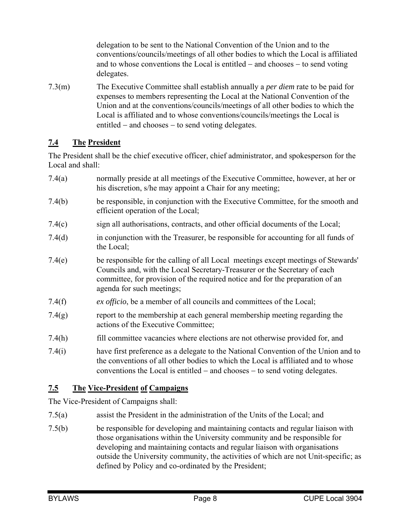delegation to be sent to the National Convention of the Union and to the conventions/councils/meetings of all other bodies to which the Local is affiliated and to whose conventions the Local is entitled  $-$  and chooses  $-$  to send voting delegates.

7.3(m) The Executive Committee shall establish annually a *per diem* rate to be paid for expenses to members representing the Local at the National Convention of the Union and at the conventions/councils/meetings of all other bodies to which the Local is affiliated and to whose conventions/councils/meetings the Local is entitled  $-$  and chooses  $-$  to send voting delegates.

## **7.4 The President**

The President shall be the chief executive officer, chief administrator, and spokesperson for the Local and shall:

- 7.4(a) normally preside at all meetings of the Executive Committee, however, at her or his discretion, s/he may appoint a Chair for any meeting;
- 7.4(b) be responsible, in conjunction with the Executive Committee, for the smooth and efficient operation of the Local;
- 7.4(c) sign all authorisations, contracts, and other official documents of the Local;
- 7.4(d) in conjunction with the Treasurer, be responsible for accounting for all funds of the Local;
- 7.4(e) be responsible for the calling of all Local meetings except meetings of Stewards' Councils and, with the Local Secretary-Treasurer or the Secretary of each committee, for provision of the required notice and for the preparation of an agenda for such meetings;
- 7.4(f) *ex officio*, be a member of all councils and committees of the Local;
- 7.4(g) report to the membership at each general membership meeting regarding the actions of the Executive Committee;
- 7.4(h) fill committee vacancies where elections are not otherwise provided for, and
- 7.4(i) have first preference as a delegate to the National Convention of the Union and to the conventions of all other bodies to which the Local is affiliated and to whose conventions the Local is entitled  $-$  and chooses  $-$  to send voting delegates.

## **7.5 The Vice-President of Campaigns**

The Vice-President of Campaigns shall:

- 7.5(a) assist the President in the administration of the Units of the Local; and
- 7.5(b) be responsible for developing and maintaining contacts and regular liaison with those organisations within the University community and be responsible for developing and maintaining contacts and regular liaison with organisations outside the University community, the activities of which are not Unit-specific; as defined by Policy and co-ordinated by the President;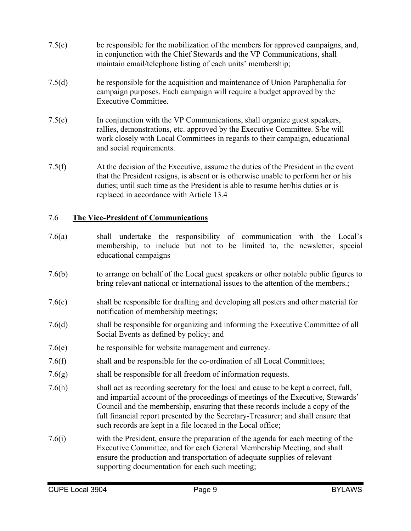- 7.5(c) be responsible for the mobilization of the members for approved campaigns, and, in conjunction with the Chief Stewards and the VP Communications, shall maintain email/telephone listing of each units' membership;
- 7.5(d) be responsible for the acquisition and maintenance of Union Paraphenalia for campaign purposes. Each campaign will require a budget approved by the Executive Committee.
- 7.5(e) In conjunction with the VP Communications, shall organize guest speakers, rallies, demonstrations, etc. approved by the Executive Committee. S/he will work closely with Local Committees in regards to their campaign, educational and social requirements.
- 7.5(f) At the decision of the Executive, assume the duties of the President in the event that the President resigns, is absent or is otherwise unable to perform her or his duties; until such time as the President is able to resume her/his duties or is replaced in accordance with Article 13.4

## 7.6 **The Vice-President of Communications**

- 7.6(a) shall undertake the responsibility of communication with the Local's membership, to include but not to be limited to, the newsletter, special educational campaigns
- 7.6(b) to arrange on behalf of the Local guest speakers or other notable public figures to bring relevant national or international issues to the attention of the members.;
- 7.6(c) shall be responsible for drafting and developing all posters and other material for notification of membership meetings;
- 7.6(d) shall be responsible for organizing and informing the Executive Committee of all Social Events as defined by policy; and
- 7.6(e) be responsible for website management and currency.
- 7.6(f) shall and be responsible for the co-ordination of all Local Committees;
- 7.6(g) shall be responsible for all freedom of information requests.
- 7.6(h) shall act as recording secretary for the local and cause to be kept a correct, full, and impartial account of the proceedings of meetings of the Executive, Stewards' Council and the membership, ensuring that these records include a copy of the full financial report presented by the Secretary-Treasurer; and shall ensure that such records are kept in a file located in the Local office;
- 7.6(i) with the President, ensure the preparation of the agenda for each meeting of the Executive Committee, and for each General Membership Meeting, and shall ensure the production and transportation of adequate supplies of relevant supporting documentation for each such meeting;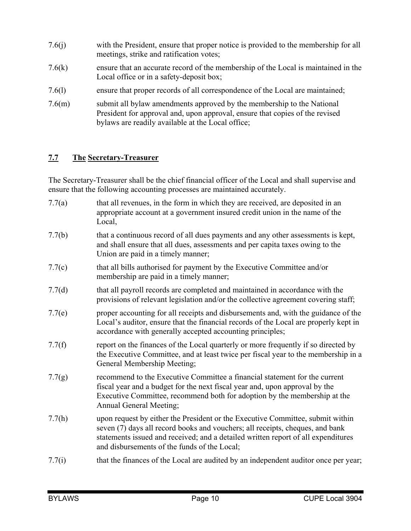- 7.6(j) with the President, ensure that proper notice is provided to the membership for all meetings, strike and ratification votes;
- 7.6(k) ensure that an accurate record of the membership of the Local is maintained in the Local office or in a safety-deposit box;
- 7.6(l) ensure that proper records of all correspondence of the Local are maintained;
- 7.6(m) submit all bylaw amendments approved by the membership to the National President for approval and, upon approval, ensure that copies of the revised bylaws are readily available at the Local office;

## **7.7 The Secretary-Treasurer**

The Secretary-Treasurer shall be the chief financial officer of the Local and shall supervise and ensure that the following accounting processes are maintained accurately.

- 7.7(a) that all revenues, in the form in which they are received, are deposited in an appropriate account at a government insured credit union in the name of the Local,
- 7.7(b) that a continuous record of all dues payments and any other assessments is kept, and shall ensure that all dues, assessments and per capita taxes owing to the Union are paid in a timely manner;
- 7.7(c) that all bills authorised for payment by the Executive Committee and/or membership are paid in a timely manner;
- 7.7(d) that all payroll records are completed and maintained in accordance with the provisions of relevant legislation and/or the collective agreement covering staff;
- 7.7(e) proper accounting for all receipts and disbursements and, with the guidance of the Local's auditor, ensure that the financial records of the Local are properly kept in accordance with generally accepted accounting principles;
- 7.7(f) report on the finances of the Local quarterly or more frequently if so directed by the Executive Committee, and at least twice per fiscal year to the membership in a General Membership Meeting;
- 7.7(g) recommend to the Executive Committee a financial statement for the current fiscal year and a budget for the next fiscal year and, upon approval by the Executive Committee, recommend both for adoption by the membership at the Annual General Meeting;
- 7.7(h) upon request by either the President or the Executive Committee, submit within seven (7) days all record books and vouchers; all receipts, cheques, and bank statements issued and received; and a detailed written report of all expenditures and disbursements of the funds of the Local;
- 7.7(i) that the finances of the Local are audited by an independent auditor once per year;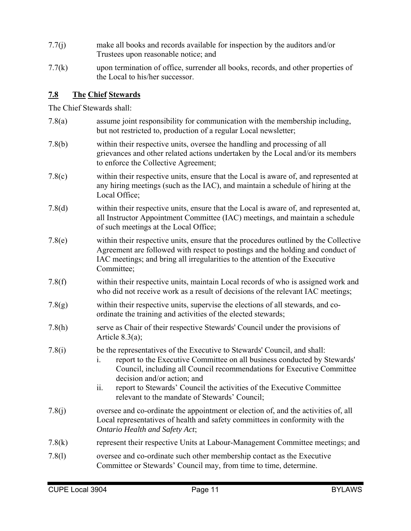- 7.7(j) make all books and records available for inspection by the auditors and/or Trustees upon reasonable notice; and
- 7.7(k) upon termination of office, surrender all books, records, and other properties of the Local to his/her successor.

#### **7.8 The Chief Stewards**

The Chief Stewards shall:

| 7.8(a) | assume joint responsibility for communication with the membership including,<br>but not restricted to, production of a regular Local newsletter;                                                                                                                                                                                                    |
|--------|-----------------------------------------------------------------------------------------------------------------------------------------------------------------------------------------------------------------------------------------------------------------------------------------------------------------------------------------------------|
| 7.8(b) | within their respective units, oversee the handling and processing of all<br>grievances and other related actions undertaken by the Local and/or its members<br>to enforce the Collective Agreement;                                                                                                                                                |
| 7.8(c) | within their respective units, ensure that the Local is aware of, and represented at<br>any hiring meetings (such as the IAC), and maintain a schedule of hiring at the<br>Local Office;                                                                                                                                                            |
| 7.8(d) | within their respective units, ensure that the Local is aware of, and represented at,<br>all Instructor Appointment Committee (IAC) meetings, and maintain a schedule<br>of such meetings at the Local Office;                                                                                                                                      |
| 7.8(e) | within their respective units, ensure that the procedures outlined by the Collective<br>Agreement are followed with respect to postings and the holding and conduct of<br>IAC meetings; and bring all irregularities to the attention of the Executive<br>Committee;                                                                                |
| 7.8(f) | within their respective units, maintain Local records of who is assigned work and<br>who did not receive work as a result of decisions of the relevant IAC meetings;                                                                                                                                                                                |
| 7.8(g) | within their respective units, supervise the elections of all stewards, and co-<br>ordinate the training and activities of the elected stewards;                                                                                                                                                                                                    |
| 7.8(h) | serve as Chair of their respective Stewards' Council under the provisions of<br>Article $8.3(a)$ ;                                                                                                                                                                                                                                                  |
| 7.8(i) | be the representatives of the Executive to Stewards' Council, and shall:<br>report to the Executive Committee on all business conducted by Stewards'<br>1.<br>Council, including all Council recommendations for Executive Committee<br>decision and/or action; and<br>ii.<br>report to Stewards' Council the activities of the Executive Committee |
|        | relevant to the mandate of Stewards' Council;                                                                                                                                                                                                                                                                                                       |
| 7.8(j) | oversee and co-ordinate the appointment or election of, and the activities of, all<br>Local representatives of health and safety committees in conformity with the<br>Ontario Health and Safety Act;                                                                                                                                                |
| 7.8(k) | represent their respective Units at Labour-Management Committee meetings; and                                                                                                                                                                                                                                                                       |
| 7.8(1) | oversee and co-ordinate such other membership contact as the Executive<br>Committee or Stewards' Council may, from time to time, determine.                                                                                                                                                                                                         |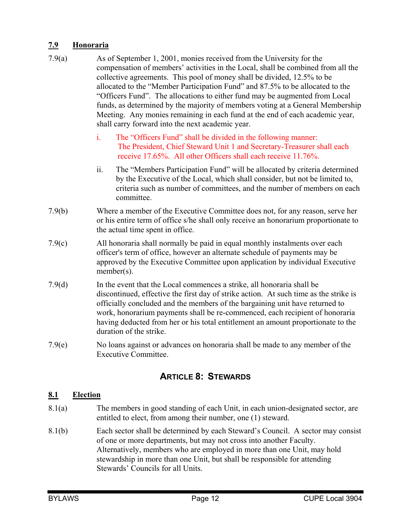## **7.9 Honoraria**

- 7.9(a) As of September 1, 2001, monies received from the University for the compensation of members' activities in the Local, shall be combined from all the collective agreements. This pool of money shall be divided, 12.5% to be allocated to the "Member Participation Fund" and 87.5% to be allocated to the "Officers Fund". The allocations to either fund may be augmented from Local funds, as determined by the majority of members voting at a General Membership Meeting. Any monies remaining in each fund at the end of each academic year, shall carry forward into the next academic year.
	- i. The "Officers Fund" shall be divided in the following manner: The President, Chief Steward Unit 1 and Secretary-Treasurer shall each receive 17.65%. All other Officers shall each receive 11.76%.
	- ii. The "Members Participation Fund" will be allocated by criteria determined by the Executive of the Local, which shall consider, but not be limited to, criteria such as number of committees, and the number of members on each committee.
- 7.9(b) Where a member of the Executive Committee does not, for any reason, serve her or his entire term of office s/he shall only receive an honorarium proportionate to the actual time spent in office.
- 7.9(c) All honoraria shall normally be paid in equal monthly instalments over each officer's term of office, however an alternate schedule of payments may be approved by the Executive Committee upon application by individual Executive member(s).
- 7.9(d) In the event that the Local commences a strike, all honoraria shall be discontinued, effective the first day of strike action. At such time as the strike is officially concluded and the members of the bargaining unit have returned to work, honorarium payments shall be re-commenced, each recipient of honoraria having deducted from her or his total entitlement an amount proportionate to the duration of the strike.
- 7.9(e) No loans against or advances on honoraria shall be made to any member of the Executive Committee.

## **ARTICLE 8: STEWARDS**

#### **8.1 Election**

- 8.1(a) The members in good standing of each Unit, in each union-designated sector, are entitled to elect, from among their number, one (1) steward.
- 8.1(b) Each sector shall be determined by each Steward's Council. A sector may consist of one or more departments, but may not cross into another Faculty. Alternatively, members who are employed in more than one Unit, may hold stewardship in more than one Unit, but shall be responsible for attending Stewards' Councils for all Units.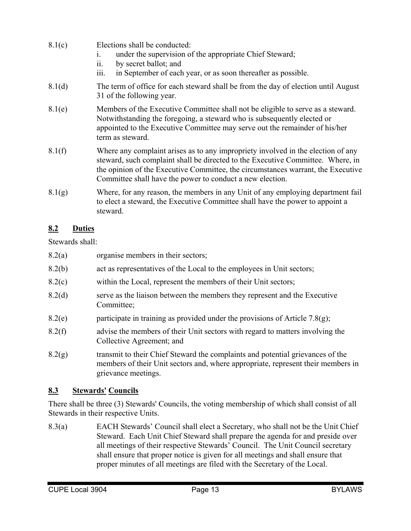- 8.1(c) Elections shall be conducted:
	- i. under the supervision of the appropriate Chief Steward;
	- ii. by secret ballot; and
	- iii. in September of each year, or as soon thereafter as possible.
- 8.1(d) The term of office for each steward shall be from the day of election until August 31 of the following year.
- 8.1(e) Members of the Executive Committee shall not be eligible to serve as a steward. Notwithstanding the foregoing, a steward who is subsequently elected or appointed to the Executive Committee may serve out the remainder of his/her term as steward.
- 8.1(f) Where any complaint arises as to any impropriety involved in the election of any steward, such complaint shall be directed to the Executive Committee. Where, in the opinion of the Executive Committee, the circumstances warrant, the Executive Committee shall have the power to conduct a new election.
- $8.1(g)$  Where, for any reason, the members in any Unit of any employing department fail to elect a steward, the Executive Committee shall have the power to appoint a steward.

## **8.2 Duties**

Stewards shall:

- 8.2(a) organise members in their sectors;
- 8.2(b) act as representatives of the Local to the employees in Unit sectors;
- 8.2(c) within the Local, represent the members of their Unit sectors;
- 8.2(d) serve as the liaison between the members they represent and the Executive Committee;
- 8.2(e) participate in training as provided under the provisions of Article 7.8(g);
- 8.2(f) advise the members of their Unit sectors with regard to matters involving the Collective Agreement; and
- 8.2(g) transmit to their Chief Steward the complaints and potential grievances of the members of their Unit sectors and, where appropriate, represent their members in grievance meetings.

## **8.3 Stewards' Councils**

There shall be three (3) Stewards' Councils, the voting membership of which shall consist of all Stewards in their respective Units.

8.3(a) EACH Stewards' Council shall elect a Secretary, who shall not be the Unit Chief Steward. Each Unit Chief Steward shall prepare the agenda for and preside over all meetings of their respective Stewards' Council. The Unit Council secretary shall ensure that proper notice is given for all meetings and shall ensure that proper minutes of all meetings are filed with the Secretary of the Local.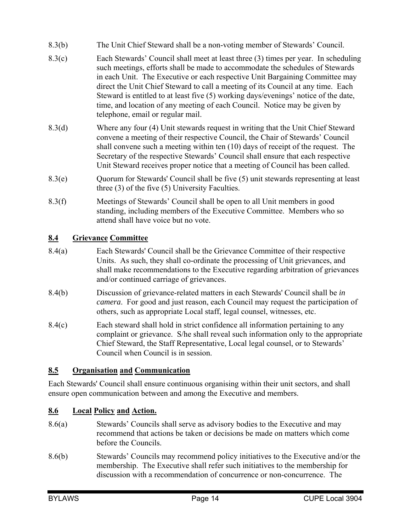- 8.3(b) The Unit Chief Steward shall be a non-voting member of Stewards' Council.
- 8.3(c) Each Stewards' Council shall meet at least three (3) times per year. In scheduling such meetings, efforts shall be made to accommodate the schedules of Stewards in each Unit. The Executive or each respective Unit Bargaining Committee may direct the Unit Chief Steward to call a meeting of its Council at any time. Each Steward is entitled to at least five (5) working days/evenings' notice of the date, time, and location of any meeting of each Council. Notice may be given by telephone, email or regular mail.
- 8.3(d) Where any four (4) Unit stewards request in writing that the Unit Chief Steward convene a meeting of their respective Council, the Chair of Stewards' Council shall convene such a meeting within ten (10) days of receipt of the request. The Secretary of the respective Stewards' Council shall ensure that each respective Unit Steward receives proper notice that a meeting of Council has been called.
- 8.3(e) Quorum for Stewards' Council shall be five (5) unit stewards representing at least three (3) of the five (5) University Faculties.
- 8.3(f) Meetings of Stewards' Council shall be open to all Unit members in good standing, including members of the Executive Committee. Members who so attend shall have voice but no vote.

## **8.4 Grievance Committee**

- 8.4(a) Each Stewards' Council shall be the Grievance Committee of their respective Units. As such, they shall co-ordinate the processing of Unit grievances, and shall make recommendations to the Executive regarding arbitration of grievances and/or continued carriage of grievances.
- 8.4(b) Discussion of grievance-related matters in each Stewards' Council shall be *in camera*. For good and just reason, each Council may request the participation of others, such as appropriate Local staff, legal counsel, witnesses, etc.
- 8.4(c) Each steward shall hold in strict confidence all information pertaining to any complaint or grievance. S/he shall reveal such information only to the appropriate Chief Steward, the Staff Representative, Local legal counsel, or to Stewards' Council when Council is in session.

## **8.5 Organisation and Communication**

Each Stewards' Council shall ensure continuous organising within their unit sectors, and shall ensure open communication between and among the Executive and members.

## **8.6 Local Policy and Action.**

- 8.6(a) Stewards' Councils shall serve as advisory bodies to the Executive and may recommend that actions be taken or decisions be made on matters which come before the Councils.
- 8.6(b) Stewards' Councils may recommend policy initiatives to the Executive and/or the membership. The Executive shall refer such initiatives to the membership for discussion with a recommendation of concurrence or non-concurrence. The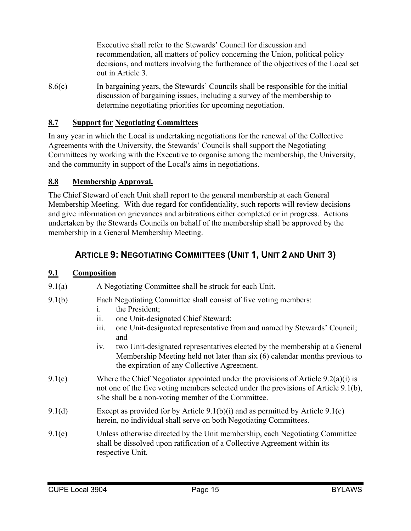Executive shall refer to the Stewards' Council for discussion and recommendation, all matters of policy concerning the Union, political policy decisions, and matters involving the furtherance of the objectives of the Local set out in Article 3.

8.6(c) In bargaining years, the Stewards' Councils shall be responsible for the initial discussion of bargaining issues, including a survey of the membership to determine negotiating priorities for upcoming negotiation.

#### **8.7 Support for Negotiating Committees**

In any year in which the Local is undertaking negotiations for the renewal of the Collective Agreements with the University, the Stewards' Councils shall support the Negotiating Committees by working with the Executive to organise among the membership, the University, and the community in support of the Local's aims in negotiations.

#### **8.8 Membership Approval.**

The Chief Steward of each Unit shall report to the general membership at each General Membership Meeting. With due regard for confidentiality, such reports will review decisions and give information on grievances and arbitrations either completed or in progress. Actions undertaken by the Stewards Councils on behalf of the membership shall be approved by the membership in a General Membership Meeting.

## **ARTICLE 9: NEGOTIATING COMMITTEES (UNIT 1, UNIT 2 AND UNIT 3)**

#### **9.1 Composition**

- 9.1(a) A Negotiating Committee shall be struck for each Unit.
- 9.1(b) Each Negotiating Committee shall consist of five voting members:
	- i. the President;
	- ii. one Unit-designated Chief Steward;
	- iii. one Unit-designated representative from and named by Stewards' Council; and
	- iv. two Unit-designated representatives elected by the membership at a General Membership Meeting held not later than six (6) calendar months previous to the expiration of any Collective Agreement.
- 9.1(c) Where the Chief Negotiator appointed under the provisions of Article 9.2(a)(i) is not one of the five voting members selected under the provisions of Article 9.1(b), s/he shall be a non-voting member of the Committee.
- 9.1(d) Except as provided for by Article 9.1(b)(i) and as permitted by Article 9.1(c) herein, no individual shall serve on both Negotiating Committees.
- 9.1(e) Unless otherwise directed by the Unit membership, each Negotiating Committee shall be dissolved upon ratification of a Collective Agreement within its respective Unit.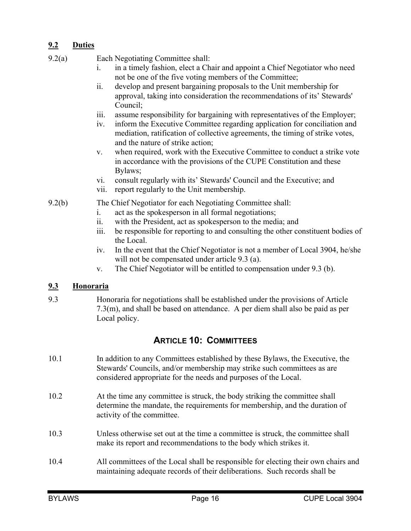## **9.2 Duties**

9.2(a) Each Negotiating Committee shall:

- i. in a timely fashion, elect a Chair and appoint a Chief Negotiator who need not be one of the five voting members of the Committee;
- ii. develop and present bargaining proposals to the Unit membership for approval, taking into consideration the recommendations of its' Stewards' Council;
- iii. assume responsibility for bargaining with representatives of the Employer;
- iv. inform the Executive Committee regarding application for conciliation and mediation, ratification of collective agreements, the timing of strike votes, and the nature of strike action;
- v. when required, work with the Executive Committee to conduct a strike vote in accordance with the provisions of the CUPE Constitution and these Bylaws;
- vi. consult regularly with its' Stewards' Council and the Executive; and
- vii. report regularly to the Unit membership.

#### 9.2(b) The Chief Negotiator for each Negotiating Committee shall:

- i. act as the spokesperson in all formal negotiations;
- ii. with the President, act as spokesperson to the media; and
- iii. be responsible for reporting to and consulting the other constituent bodies of the Local.
- iv. In the event that the Chief Negotiator is not a member of Local 3904, he/she will not be compensated under article 9.3 (a).
- v. The Chief Negotiator will be entitled to compensation under 9.3 (b).

#### **9.3 Honoraria**

9.3 Honoraria for negotiations shall be established under the provisions of Article 7.3(m), and shall be based on attendance. A per diem shall also be paid as per Local policy.

## **ARTICLE 10: COMMITTEES**

- 10.1 In addition to any Committees established by these Bylaws, the Executive, the Stewards' Councils, and/or membership may strike such committees as are considered appropriate for the needs and purposes of the Local.
- 10.2 At the time any committee is struck, the body striking the committee shall determine the mandate, the requirements for membership, and the duration of activity of the committee.
- 10.3 Unless otherwise set out at the time a committee is struck, the committee shall make its report and recommendations to the body which strikes it.
- 10.4 All committees of the Local shall be responsible for electing their own chairs and maintaining adequate records of their deliberations. Such records shall be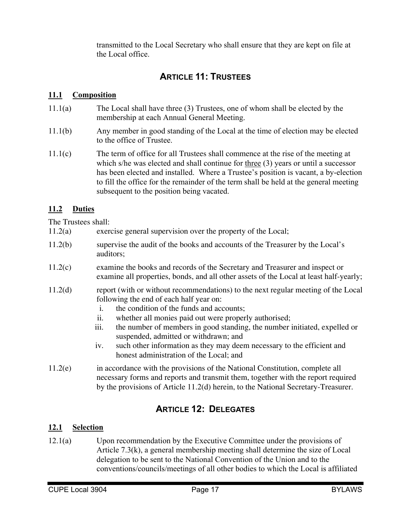transmitted to the Local Secretary who shall ensure that they are kept on file at the Local office.

## **ARTICLE 11: TRUSTEES**

## **11.1 Composition**

- 11.1(a) The Local shall have three (3) Trustees, one of whom shall be elected by the membership at each Annual General Meeting.
- 11.1(b) Any member in good standing of the Local at the time of election may be elected to the office of Trustee.
- 11.1(c) The term of office for all Trustees shall commence at the rise of the meeting at which s/he was elected and shall continue for three (3) years or until a successor has been elected and installed. Where a Trustee's position is vacant, a by-election to fill the office for the remainder of the term shall be held at the general meeting subsequent to the position being vacated.

## **11.2 Duties**

The Trustees shall:

- 11.2(a) exercise general supervision over the property of the Local;
- 11.2(b) supervise the audit of the books and accounts of the Treasurer by the Local's auditors;
- 11.2(c) examine the books and records of the Secretary and Treasurer and inspect or examine all properties, bonds, and all other assets of the Local at least half-yearly;
- 11.2(d) report (with or without recommendations) to the next regular meeting of the Local following the end of each half year on:
	- i. the condition of the funds and accounts;
	- ii. whether all monies paid out were properly authorised;
	- iii. the number of members in good standing, the number initiated, expelled or suspended, admitted or withdrawn; and
	- iv. such other information as they may deem necessary to the efficient and honest administration of the Local; and
- 11.2(e) in accordance with the provisions of the National Constitution, complete all necessary forms and reports and transmit them, together with the report required by the provisions of Article 11.2(d) herein, to the National Secretary-Treasurer.

## **ARTICLE 12: DELEGATES**

## **12.1 Selection**

12.1(a) Upon recommendation by the Executive Committee under the provisions of Article 7.3(k), a general membership meeting shall determine the size of Local delegation to be sent to the National Convention of the Union and to the conventions/councils/meetings of all other bodies to which the Local is affiliated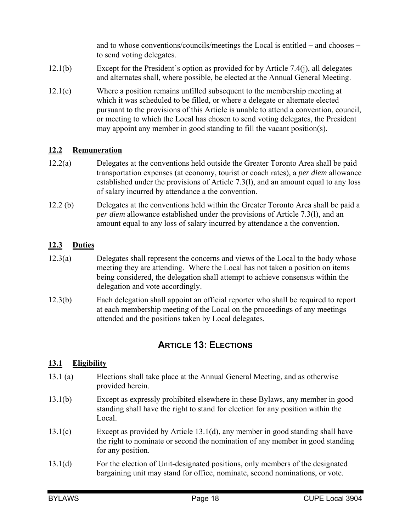and to whose conventions/councils/meetings the Local is entitled  $-$  and chooses  $$ to send voting delegates.

- 12.1(b) Except for the President's option as provided for by Article 7.4(j), all delegates and alternates shall, where possible, be elected at the Annual General Meeting.
- 12.1(c) Where a position remains unfilled subsequent to the membership meeting at which it was scheduled to be filled, or where a delegate or alternate elected pursuant to the provisions of this Article is unable to attend a convention, council, or meeting to which the Local has chosen to send voting delegates, the President may appoint any member in good standing to fill the vacant position(s).

#### **12.2 Remuneration**

- 12.2(a) Delegates at the conventions held outside the Greater Toronto Area shall be paid transportation expenses (at economy, tourist or coach rates), a *per diem* allowance established under the provisions of Article 7.3(l), and an amount equal to any loss of salary incurred by attendance a the convention.
- 12.2 (b) Delegates at the conventions held within the Greater Toronto Area shall be paid a *per diem* allowance established under the provisions of Article 7.3(l), and an amount equal to any loss of salary incurred by attendance a the convention.

## **12.3 Duties**

- 12.3(a) Delegates shall represent the concerns and views of the Local to the body whose meeting they are attending. Where the Local has not taken a position on items being considered, the delegation shall attempt to achieve consensus within the delegation and vote accordingly.
- 12.3(b) Each delegation shall appoint an official reporter who shall be required to report at each membership meeting of the Local on the proceedings of any meetings attended and the positions taken by Local delegates.

## **ARTICLE 13: ELECTIONS**

#### **13.1 Eligibility**

- 13.1 (a) Elections shall take place at the Annual General Meeting, and as otherwise provided herein.
- 13.1(b) Except as expressly prohibited elsewhere in these Bylaws, any member in good standing shall have the right to stand for election for any position within the Local.
- 13.1(c) Except as provided by Article 13.1(d), any member in good standing shall have the right to nominate or second the nomination of any member in good standing for any position.
- 13.1(d) For the election of Unit-designated positions, only members of the designated bargaining unit may stand for office, nominate, second nominations, or vote.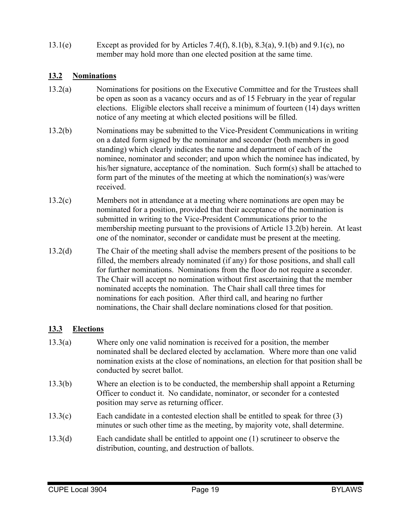13.1(e) Except as provided for by Articles 7.4(f), 8.1(b), 8.3(a), 9.1(b) and 9.1(c), no member may hold more than one elected position at the same time.

#### **13.2 Nominations**

- 13.2(a) Nominations for positions on the Executive Committee and for the Trustees shall be open as soon as a vacancy occurs and as of 15 February in the year of regular elections. Eligible electors shall receive a minimum of fourteen (14) days written notice of any meeting at which elected positions will be filled.
- 13.2(b) Nominations may be submitted to the Vice-President Communications in writing on a dated form signed by the nominator and seconder (both members in good standing) which clearly indicates the name and department of each of the nominee, nominator and seconder; and upon which the nominee has indicated, by his/her signature, acceptance of the nomination. Such form(s) shall be attached to form part of the minutes of the meeting at which the nomination(s) was/were received.
- 13.2(c) Members not in attendance at a meeting where nominations are open may be nominated for a position, provided that their acceptance of the nomination is submitted in writing to the Vice-President Communications prior to the membership meeting pursuant to the provisions of Article 13.2(b) herein. At least one of the nominator, seconder or candidate must be present at the meeting.
- 13.2(d) The Chair of the meeting shall advise the members present of the positions to be filled, the members already nominated (if any) for those positions, and shall call for further nominations. Nominations from the floor do not require a seconder. The Chair will accept no nomination without first ascertaining that the member nominated accepts the nomination. The Chair shall call three times for nominations for each position. After third call, and hearing no further nominations, the Chair shall declare nominations closed for that position.

## **13.3 Elections**

- 13.3(a) Where only one valid nomination is received for a position, the member nominated shall be declared elected by acclamation. Where more than one valid nomination exists at the close of nominations, an election for that position shall be conducted by secret ballot.
- 13.3(b) Where an election is to be conducted, the membership shall appoint a Returning Officer to conduct it. No candidate, nominator, or seconder for a contested position may serve as returning officer.
- 13.3(c) Each candidate in a contested election shall be entitled to speak for three (3) minutes or such other time as the meeting, by majority vote, shall determine.
- 13.3(d) Each candidate shall be entitled to appoint one (1) scrutineer to observe the distribution, counting, and destruction of ballots.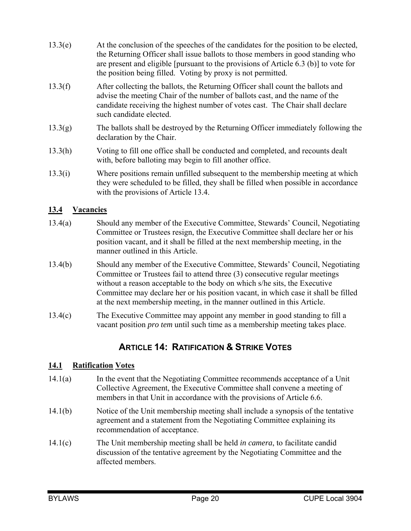- 13.3(e) At the conclusion of the speeches of the candidates for the position to be elected, the Returning Officer shall issue ballots to those members in good standing who are present and eligible [pursuant to the provisions of Article 6.3 (b)] to vote for the position being filled. Voting by proxy is not permitted.
- 13.3(f) After collecting the ballots, the Returning Officer shall count the ballots and advise the meeting Chair of the number of ballots cast, and the name of the candidate receiving the highest number of votes cast. The Chair shall declare such candidate elected.
- 13.3(g) The ballots shall be destroyed by the Returning Officer immediately following the declaration by the Chair.
- 13.3(h) Voting to fill one office shall be conducted and completed, and recounts dealt with, before balloting may begin to fill another office.
- 13.3(i) Where positions remain unfilled subsequent to the membership meeting at which they were scheduled to be filled, they shall be filled when possible in accordance with the provisions of Article 13.4.

## **13.4 Vacancies**

- 13.4(a) Should any member of the Executive Committee, Stewards' Council, Negotiating Committee or Trustees resign, the Executive Committee shall declare her or his position vacant, and it shall be filled at the next membership meeting, in the manner outlined in this Article.
- 13.4(b) Should any member of the Executive Committee, Stewards' Council, Negotiating Committee or Trustees fail to attend three (3) consecutive regular meetings without a reason acceptable to the body on which s/he sits, the Executive Committee may declare her or his position vacant, in which case it shall be filled at the next membership meeting, in the manner outlined in this Article.
- 13.4(c) The Executive Committee may appoint any member in good standing to fill a vacant position *pro tem* until such time as a membership meeting takes place.

## **ARTICLE 14: RATIFICATION & STRIKE VOTES**

#### **14.1 Ratification Votes**

- 14.1(a) In the event that the Negotiating Committee recommends acceptance of a Unit Collective Agreement, the Executive Committee shall convene a meeting of members in that Unit in accordance with the provisions of Article 6.6.
- 14.1(b) Notice of the Unit membership meeting shall include a synopsis of the tentative agreement and a statement from the Negotiating Committee explaining its recommendation of acceptance.
- 14.1(c) The Unit membership meeting shall be held *in camera*, to facilitate candid discussion of the tentative agreement by the Negotiating Committee and the affected members.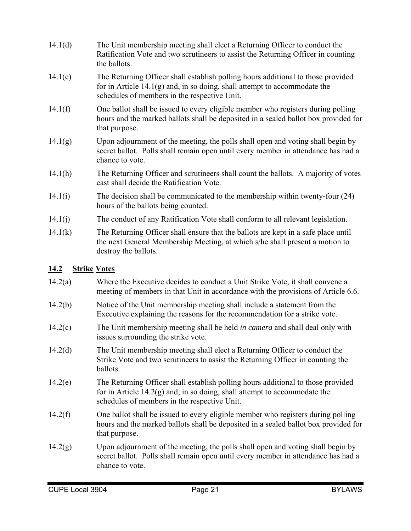- 14.1(d) The Unit membership meeting shall elect a Returning Officer to conduct the Ratification Vote and two scrutineers to assist the Returning Officer in counting the ballots.
- 14.1(e) The Returning Officer shall establish polling hours additional to those provided for in Article 14.1(g) and, in so doing, shall attempt to accommodate the schedules of members in the respective Unit.
- 14.1(f) One ballot shall be issued to every eligible member who registers during polling hours and the marked ballots shall be deposited in a sealed ballot box provided for that purpose.
- $14.1(g)$  Upon adjournment of the meeting, the polls shall open and voting shall begin by secret ballot. Polls shall remain open until every member in attendance has had a chance to vote.
- 14.1(h) The Returning Officer and scrutineers shall count the ballots. A majority of votes cast shall decide the Ratification Vote.
- 14.1(i) The decision shall be communicated to the membership within twenty-four (24) hours of the ballots being counted.
- 14.1(j) The conduct of any Ratification Vote shall conform to all relevant legislation.
- 14.1(k) The Returning Officer shall ensure that the ballots are kept in a safe place until the next General Membership Meeting, at which s/he shall present a motion to destroy the ballots.

## **14.2 Strike Votes**

- 14.2(a) Where the Executive decides to conduct a Unit Strike Vote, it shall convene a meeting of members in that Unit in accordance with the provisions of Article 6.6.
- 14.2(b) Notice of the Unit membership meeting shall include a statement from the Executive explaining the reasons for the recommendation for a strike vote.
- 14.2(c) The Unit membership meeting shall be held *in camera* and shall deal only with issues surrounding the strike vote.
- 14.2(d) The Unit membership meeting shall elect a Returning Officer to conduct the Strike Vote and two scrutineers to assist the Returning Officer in counting the ballots.
- 14.2(e) The Returning Officer shall establish polling hours additional to those provided for in Article  $14.2(g)$  and, in so doing, shall attempt to accommodate the schedules of members in the respective Unit.
- 14.2(f) One ballot shall be issued to every eligible member who registers during polling hours and the marked ballots shall be deposited in a sealed ballot box provided for that purpose.
- 14.2(g) Upon adjournment of the meeting, the polls shall open and voting shall begin by secret ballot. Polls shall remain open until every member in attendance has had a chance to vote.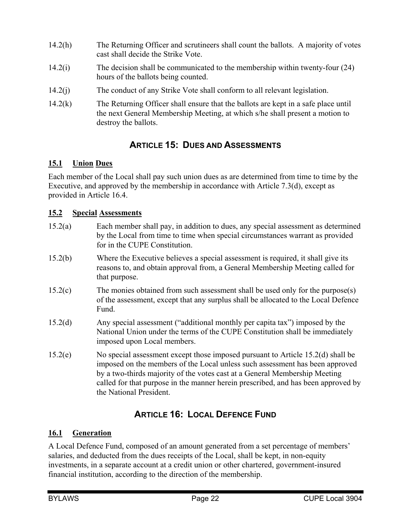- 14.2(h) The Returning Officer and scrutineers shall count the ballots. A majority of votes cast shall decide the Strike Vote.
- 14.2(i) The decision shall be communicated to the membership within twenty-four (24) hours of the ballots being counted.
- 14.2(j) The conduct of any Strike Vote shall conform to all relevant legislation.
- 14.2(k) The Returning Officer shall ensure that the ballots are kept in a safe place until the next General Membership Meeting, at which s/he shall present a motion to destroy the ballots.

## **ARTICLE 15: DUES AND ASSESSMENTS**

## **15.1 Union Dues**

Each member of the Local shall pay such union dues as are determined from time to time by the Executive, and approved by the membership in accordance with Article 7.3(d), except as provided in Article 16.4.

## **15.2 Special Assessments**

- 15.2(a) Each member shall pay, in addition to dues, any special assessment as determined by the Local from time to time when special circumstances warrant as provided for in the CUPE Constitution.
- 15.2(b) Where the Executive believes a special assessment is required, it shall give its reasons to, and obtain approval from, a General Membership Meeting called for that purpose.
- 15.2(c) The monies obtained from such assessment shall be used only for the purpose(s) of the assessment, except that any surplus shall be allocated to the Local Defence Fund.
- 15.2(d) Any special assessment ("additional monthly per capita tax") imposed by the National Union under the terms of the CUPE Constitution shall be immediately imposed upon Local members.
- 15.2(e) No special assessment except those imposed pursuant to Article 15.2(d) shall be imposed on the members of the Local unless such assessment has been approved by a two-thirds majority of the votes cast at a General Membership Meeting called for that purpose in the manner herein prescribed, and has been approved by the National President.

## **ARTICLE 16: LOCAL DEFENCE FUND**

## **16.1 Generation**

A Local Defence Fund, composed of an amount generated from a set percentage of members' salaries, and deducted from the dues receipts of the Local, shall be kept, in non-equity investments, in a separate account at a credit union or other chartered, government-insured financial institution, according to the direction of the membership.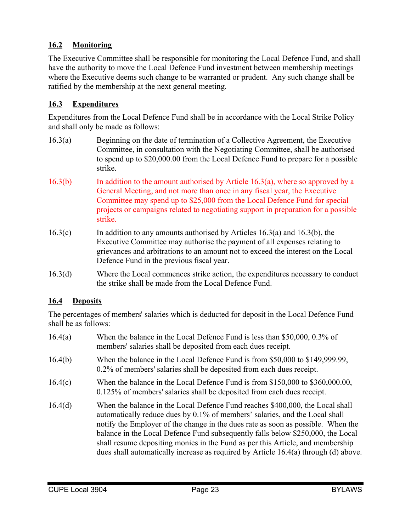## **16.2 Monitoring**

The Executive Committee shall be responsible for monitoring the Local Defence Fund, and shall have the authority to move the Local Defence Fund investment between membership meetings where the Executive deems such change to be warranted or prudent. Any such change shall be ratified by the membership at the next general meeting.

## **16.3 Expenditures**

Expenditures from the Local Defence Fund shall be in accordance with the Local Strike Policy and shall only be made as follows:

- 16.3(a) Beginning on the date of termination of a Collective Agreement, the Executive Committee, in consultation with the Negotiating Committee, shall be authorised to spend up to \$20,000.00 from the Local Defence Fund to prepare for a possible strike.
- 16.3(b) In addition to the amount authorised by Article 16.3(a), where so approved by a General Meeting, and not more than once in any fiscal year, the Executive Committee may spend up to \$25,000 from the Local Defence Fund for special projects or campaigns related to negotiating support in preparation for a possible strike.
- 16.3(c) In addition to any amounts authorised by Articles 16.3(a) and 16.3(b), the Executive Committee may authorise the payment of all expenses relating to grievances and arbitrations to an amount not to exceed the interest on the Local Defence Fund in the previous fiscal year.
- 16.3(d) Where the Local commences strike action, the expenditures necessary to conduct the strike shall be made from the Local Defence Fund.

## **16.4 Deposits**

The percentages of members' salaries which is deducted for deposit in the Local Defence Fund shall be as follows:

16.4(a) When the balance in the Local Defence Fund is less than \$50,000, 0.3% of members' salaries shall be deposited from each dues receipt. 16.4(b) When the balance in the Local Defence Fund is from \$50,000 to \$149,999.99, 0.2% of members' salaries shall be deposited from each dues receipt. 16.4(c) When the balance in the Local Defence Fund is from \$150,000 to \$360,000.00, 0.125% of members' salaries shall be deposited from each dues receipt. 16.4(d) When the balance in the Local Defence Fund reaches \$400,000, the Local shall automatically reduce dues by 0.1% of members' salaries, and the Local shall notify the Employer of the change in the dues rate as soon as possible. When the balance in the Local Defence Fund subsequently falls below \$250,000, the Local shall resume depositing monies in the Fund as per this Article, and membership dues shall automatically increase as required by Article 16.4(a) through (d) above.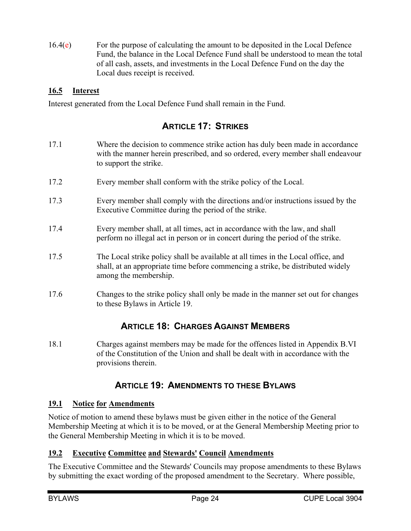$16.4(e)$  For the purpose of calculating the amount to be deposited in the Local Defence Fund, the balance in the Local Defence Fund shall be understood to mean the total of all cash, assets, and investments in the Local Defence Fund on the day the Local dues receipt is received.

## **16.5 Interest**

Interest generated from the Local Defence Fund shall remain in the Fund.

## **ARTICLE 17: STRIKES**

- 17.1 Where the decision to commence strike action has duly been made in accordance with the manner herein prescribed, and so ordered, every member shall endeavour to support the strike.
- 17.2 Every member shall conform with the strike policy of the Local.
- 17.3 Every member shall comply with the directions and/or instructions issued by the Executive Committee during the period of the strike.
- 17.4 Every member shall, at all times, act in accordance with the law, and shall perform no illegal act in person or in concert during the period of the strike.
- 17.5 The Local strike policy shall be available at all times in the Local office, and shall, at an appropriate time before commencing a strike, be distributed widely among the membership.
- 17.6 Changes to the strike policy shall only be made in the manner set out for changes to these Bylaws in Article 19.

## **ARTICLE 18: CHARGES AGAINST MEMBERS**

18.1 Charges against members may be made for the offences listed in Appendix B.VI of the Constitution of the Union and shall be dealt with in accordance with the provisions therein.

## **ARTICLE 19: AMENDMENTS TO THESE BYLAWS**

## **19.1 Notice for Amendments**

Notice of motion to amend these bylaws must be given either in the notice of the General Membership Meeting at which it is to be moved, or at the General Membership Meeting prior to the General Membership Meeting in which it is to be moved.

## **19.2 Executive Committee and Stewards' Council Amendments**

The Executive Committee and the Stewards' Councils may propose amendments to these Bylaws by submitting the exact wording of the proposed amendment to the Secretary. Where possible,